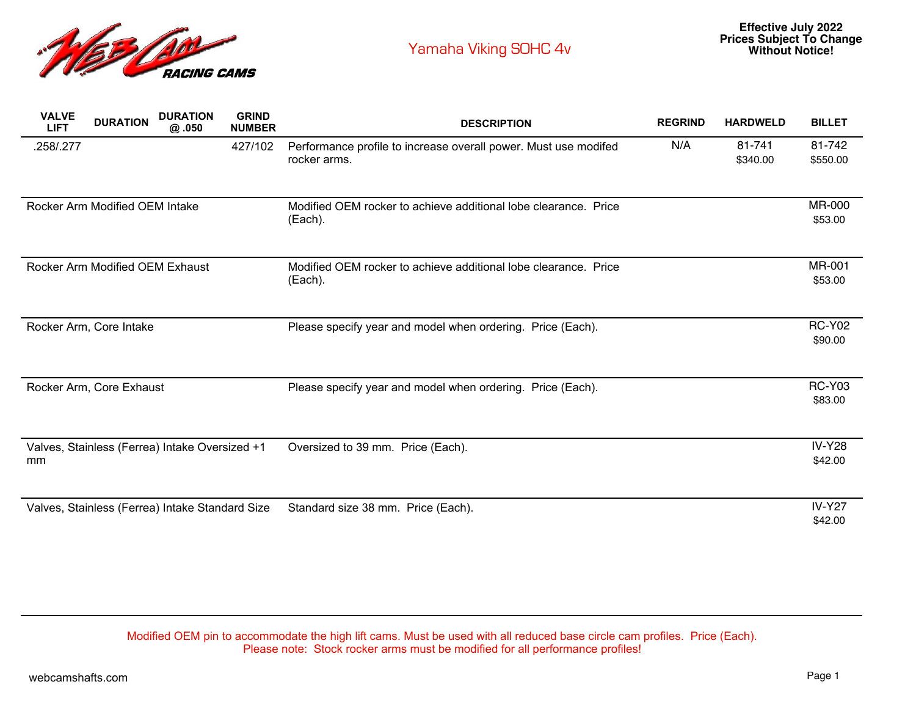

| <b>VALVE</b><br><b>LIFT</b> | <b>DURATION</b>                 | <b>DURATION</b><br>@.050                        | <b>GRIND</b><br><b>NUMBER</b> | <b>DESCRIPTION</b>                                                              | <b>REGRIND</b> | <b>HARDWELD</b>    | <b>BILLET</b>            |
|-----------------------------|---------------------------------|-------------------------------------------------|-------------------------------|---------------------------------------------------------------------------------|----------------|--------------------|--------------------------|
| .258/.277                   |                                 |                                                 | 427/102                       | Performance profile to increase overall power. Must use modifed<br>rocker arms. | N/A            | 81-741<br>\$340.00 | 81-742<br>\$550.00       |
|                             | Rocker Arm Modified OEM Intake  |                                                 |                               | Modified OEM rocker to achieve additional lobe clearance. Price<br>(Each).      |                |                    | <b>MR-000</b><br>\$53.00 |
|                             | Rocker Arm Modified OEM Exhaust |                                                 |                               | Modified OEM rocker to achieve additional lobe clearance. Price<br>(Each).      |                |                    | MR-001<br>\$53.00        |
|                             | Rocker Arm, Core Intake         |                                                 |                               | Please specify year and model when ordering. Price (Each).                      |                |                    | <b>RC-Y02</b><br>\$90.00 |
|                             | Rocker Arm, Core Exhaust        |                                                 |                               | Please specify year and model when ordering. Price (Each).                      |                |                    | <b>RC-Y03</b><br>\$83.00 |
| mm                          |                                 | Valves, Stainless (Ferrea) Intake Oversized +1  |                               | Oversized to 39 mm. Price (Each).                                               |                |                    | <b>IV-Y28</b><br>\$42.00 |
|                             |                                 | Valves, Stainless (Ferrea) Intake Standard Size |                               | Standard size 38 mm. Price (Each).                                              |                |                    | <b>IV-Y27</b><br>\$42.00 |

Modified OEM pin to accommodate the high lift cams. Must be used with all reduced base circle cam profiles. Price (Each). Please note: Stock rocker arms must be modified for all performance profiles!